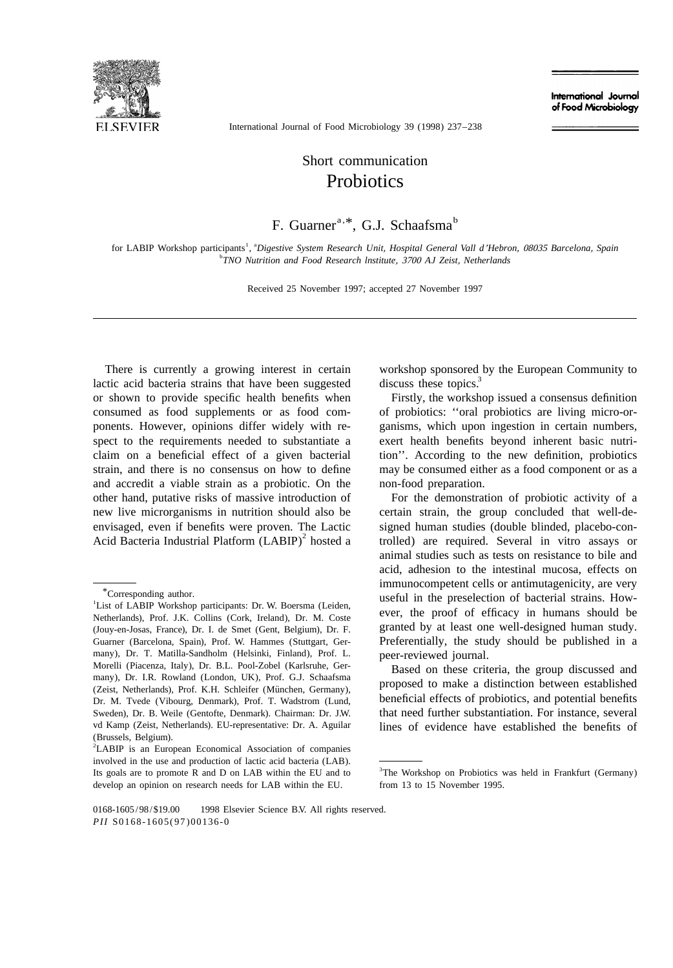

International Journal of Food Microbiology

International Journal of Food Microbiology 39 (1998) 237–238

## Short communication **Probiotics**

## F. Guarner<sup>a, \*</sup>, G.J. Schaafsma<sup>b</sup>

1 a for LABIP Workshop participants , *Digestive System Research Unit*, *Hospital General Vall d*'*Hebron*, <sup>08035</sup> *Barcelona*, *Spain* b *TNO Nutrition and Food Research lnstitute*, <sup>3700</sup> *AJ Zeist*, *Netherlands*

Received 25 November 1997; accepted 27 November 1997

There is currently a growing interest in certain workshop sponsored by the European Community to lactic acid bacteria strains that have been suggested discuss these topics.<sup>3</sup> or shown to provide specific health benefits when Firstly, the workshop issued a consensus definition consumed as food supplements or as food com- of probiotics: ''oral probiotics are living micro-orponents. However, opinions differ widely with re- ganisms, which upon ingestion in certain numbers, spect to the requirements needed to substantiate a exert health benefits beyond inherent basic nutriclaim on a beneficial effect of a given bacterial tion''. According to the new definition, probiotics strain, and there is no consensus on how to define may be consumed either as a food component or as a and accredit a viable strain as a probiotic. On the non-food preparation. other hand, putative risks of massive introduction of For the demonstration of probiotic activity of a new live microrganisms in nutrition should also be certain strain, the group concluded that well-deenvisaged, even if benefits were proven. The Lactic signed human studies (double blinded, placebo-con-<br>Acid Bacteria Industrial Platform (LABIP)<sup>2</sup> hosted a trolled) are required. Several in vitro assays or

animal studies such as tests on resistance to bile and acid, adhesion to the intestinal mucosa, effects on <sup>\*</sup>Corresponding author.<br><sup>1</sup>List of LABIP Workshop participants: Dr. W. Boersma (Leiden, useful in the preselection of bacterial strains. How-List of LABIP Workshop participants: Dr. W. Boersma (Leiden, ever, the proof of efficacy in humans should be Netherlands), Prof. J.K. Collins (Cork, Ireland), Dr. M. Coste Guarner (Barcelona, Spain), Prof. W. Hammes (Stuttgart, Ger- Preferentially, the study should be published in a

granted by at least one well-designed human study. (Jouy-en-Josas, France), Dr. I. de Smet (Gent, Belgium), Dr. F. many), Dr. T. Matilla-Sandholm (Helsinki, Finland), Prof. L. peer-reviewed journal.<br>Morelli (Piacenza, Italy), Dr. B.L. Pool-Zobel (Karlsruhe, Ger-Rosed on those criti Morelli (Piacenza, Italy), Dr. B.L. Pool-Zobel (Karlsruhe, Ger-<br>
many), Dr. I.R. Rowland (London, UK), Prof. G.J. Schaafsma<br>
(Zeist, Netherlands), Prof. K.H. Schleifer (München, Germany), Proposed to make a distinction bet Dr. M. Tvede (Vibourg, Denmark), Prof. T. Wadstrom (Lund, beneficial effects of probiotics, and potential benefits Sweden), Dr. B. Weile (Gentofte, Denmark). Chairman: Dr. J.W. that need further substantiation. For instance, several vd Kamp (Zeist, Netherlands). EU-representative: Dr. A. Aguilar lines of evidence have established the benefits of (Brussels, Belgium).

<sup>&</sup>lt;sup>2</sup>LABIP is an European Economical Association of companies involved in the use and production of lactic acid bacteria (LAB). Its goals are to promote R and D on LAB within the EU and to  $3$ The Workshop on Probiotics was held in Frankfurt (Germany) develop an opinion on research needs for LAB within the EU. from 13 to 15 November 1995.

<sup>0168-1605/98/\$19.00 © 1998</sup> Elsevier Science B.V. All rights reserved. *PII* S0168-1605(97)00136-0